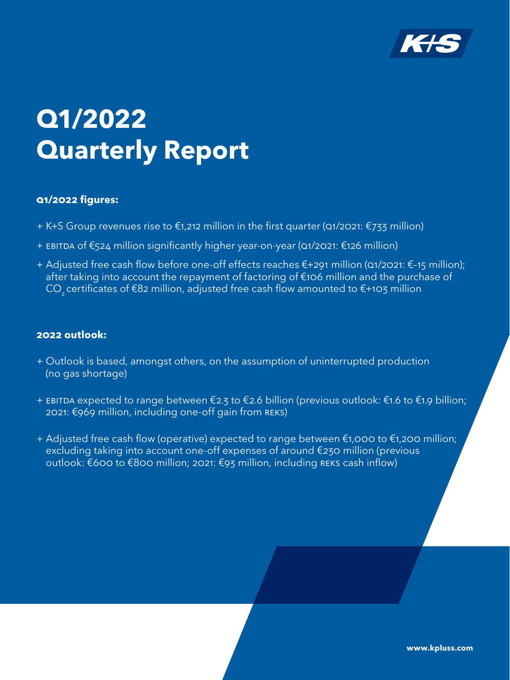

# **Q1/2022 Quarterly Report**

## **Q1/2022 figures:**

- + K+S Group revenues rise to €1,212 million in the first quarter (Q1/2021: €733 million)
- + EBITDA of €524 million significantly higher year-on-year (Q1/2021: €126 million)
- + Adjusted free cash flow before one-off effects reaches €+291 million (Q1/2021: €–15 million); after taking into account the repayment of factoring of €106 million and the purchase of CO<sub>2</sub> certificates of €82 million, adjusted free cash flow amounted to €+103 million

## **2022 outlook:**

- + Outlook is based, amongst others, on the assumption of uninterrupted production (no gas shortage)
- + EBITDA expected to range between €2.3 to €2.6 billion (previous outlook: €1.6 to €1.9 billion; 2021: €969 million, including one-off gain from REKS)
- + Adjusted free cash flow (operative) expected to range between €1,000 to €1,200 million; excluding taking into account one-off expenses of around €230 million (previous outlook: €600 to €800 million; 2021: €93 million, including REKS cash inflow)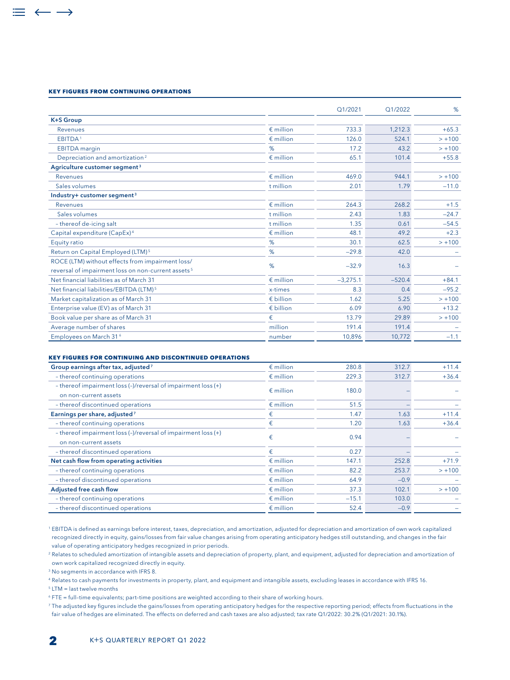#### **Key figures from continuing operations**

 $\equiv$   $\leftarrow$   $\rightarrow$ 

|                                                                                                                    |                    | Q1/2021    | Q1/2022  | %        |
|--------------------------------------------------------------------------------------------------------------------|--------------------|------------|----------|----------|
| <b>K+S Group</b>                                                                                                   |                    |            |          |          |
| Revenues                                                                                                           | $\n  emillion\n$   | 733.3      | 1,212.3  | $+65.3$  |
| EBITDA <sup>1</sup>                                                                                                | $\epsilon$ million | 126.0      | 524.1    | $> +100$ |
| <b>EBITDA</b> margin                                                                                               | %                  | 17.2       | 43.2     | $> +100$ |
| Depreciation and amortization <sup>2</sup>                                                                         | $\epsilon$ million | 65.1       | 101.4    | $+55.8$  |
| Agriculture customer segment <sup>3</sup>                                                                          |                    |            |          |          |
| Revenues                                                                                                           | $\epsilon$ million | 469.0      | 944.1    | $> +100$ |
| Sales volumes                                                                                                      | t million          | 2.01       | 1.79     | $-11.0$  |
| Industry+ customer segment <sup>3</sup>                                                                            |                    |            |          |          |
| Revenues                                                                                                           | $\n  emillion\n$   | 264.3      | 268.2    | $+1.5$   |
| Sales volumes                                                                                                      | t million          | 2.43       | 1.83     | $-24.7$  |
| - thereof de-icing salt                                                                                            | t million          | 1.35       | 0.61     | $-54.5$  |
| Capital expenditure (CapEx) <sup>4</sup>                                                                           | $\epsilon$ million | 48.1       | 49.2     | $+2.3$   |
| Equity ratio                                                                                                       | %                  | 30.1       | 62.5     | $> +100$ |
| Return on Capital Employed (LTM) <sup>5</sup>                                                                      | %                  | $-29.8$    | 42.0     |          |
| ROCE (LTM) without effects from impairment loss/<br>reversal of impairment loss on non-current assets <sup>5</sup> | %                  | $-32.9$    | 16.3     |          |
| Net financial liabilities as of March 31                                                                           | $\epsilon$ million | $-3,275.1$ | $-520.4$ | $+84.1$  |
| Net financial liabilities/EBITDA (LTM) <sup>5</sup>                                                                | x-times            | 8.3        | 0.4      | $-95.2$  |
| Market capitalization as of March 31                                                                               | $\epsilon$ billion | 1.62       | 5.25     | $> +100$ |
| Enterprise value (EV) as of March 31                                                                               | $\n  in billion$   | 6.09       | 6.90     | $+13.2$  |
| Book value per share as of March 31                                                                                | €                  | 13.79      | 29.89    | $> +100$ |
| Average number of shares                                                                                           | million            | 191.4      | 191.4    |          |
| Employees on March 316                                                                                             | number             | 10,896     | 10,772   | $-1.1$   |

#### **Key figures for continuing and discontinued operations**

| Group earnings after tax, adjusted <sup>7</sup>                                        | $\epsilon$ million | 280.8   | 312.7  | $+11.4$  |
|----------------------------------------------------------------------------------------|--------------------|---------|--------|----------|
| - thereof continuing operations                                                        | $\epsilon$ million | 229.3   | 312.7  | $+36.4$  |
| - thereof impairment loss (-)/reversal of impairment loss (+)<br>on non-current assets | $\epsilon$ million | 180.0   |        |          |
| - thereof discontinued operations                                                      | $\epsilon$ million | 51.5    |        |          |
| Earnings per share, adjusted <sup>7</sup>                                              | €                  | 1.47    | 1.63   | $+11.4$  |
| - thereof continuing operations                                                        | €                  | 1.20    | 1.63   | $+36.4$  |
| - thereof impairment loss (-)/reversal of impairment loss (+)<br>on non-current assets | €                  | 0.94    |        |          |
| - thereof discontinued operations                                                      | €                  | 0.27    |        |          |
| Net cash flow from operating activities                                                | $\epsilon$ million | 147.1   | 252.8  | $+71.9$  |
| - thereof continuing operations                                                        | $\epsilon$ million | 82.2    | 253.7  | $> +100$ |
| - thereof discontinued operations                                                      | $\epsilon$ million | 64.9    | $-0.9$ |          |
| Adjusted free cash flow                                                                | $\epsilon$ million | 37.3    | 102.1  | $> +100$ |
| - thereof continuing operations                                                        | $\epsilon$ million | $-15.1$ | 103.0  |          |
| - thereof discontinued operations                                                      | $\epsilon$ million | 52.4    | $-0.9$ |          |

<sup>1</sup> EBITDA is defined as earnings before interest, taxes, depreciation, and amortization, adjusted for depreciation and amortization of own work capitalized recognized directly in equity, gains/losses from fair value changes arising from operating anticipatory hedges still outstanding, and changes in the fair value of operating anticipatory hedges recognized in prior periods.

<sup>2</sup> Relates to scheduled amortization of intangible assets and depreciation of property, plant, and equipment, adjusted for depreciation and amortization of own work capitalized recognized directly in equity.

<sup>3</sup> No segments in accordance with IFRS 8.

<sup>4</sup> Relates to cash payments for investments in property, plant, and equipment and intangible assets, excluding leases in accordance with IFRS 16.

<sup>5</sup> LTM = last twelve months

<sup>6</sup> FTE = full–time equivalents; part–time positions are weighted according to their share of working hours.

<sup>7</sup> The adjusted key figures include the gains/losses from operating anticipatory hedges for the respective reporting period; effects from fluctuations in the fair value of hedges are eliminated. The effects on deferred and cash taxes are also adjusted; tax rate Q1/2022: 30.2% (Q1/2021: 30.1%).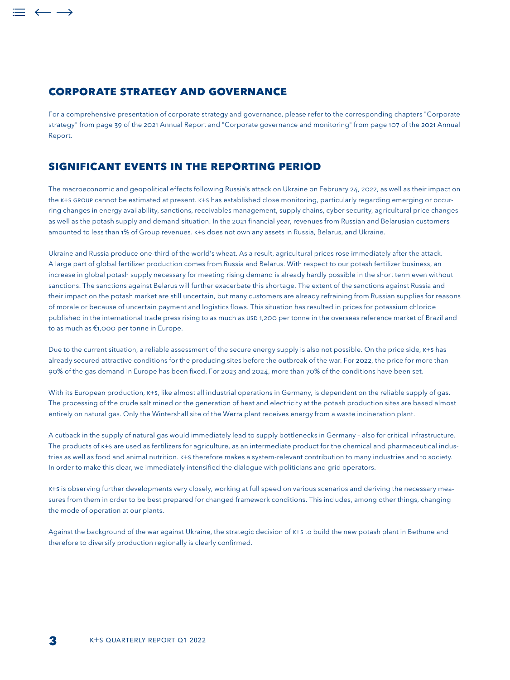## **Corporate strategy and governance**

For a comprehensive presentation of corporate strategy and governance, please refer to the corresponding chapters "Corporate strategy" from page 39 of the 2021 Annual Report and "Corporate governance and monitoring" from page 107 of the 2021 Annual Report.

## **Significant events in the reporting period**

The macroeconomic and geopolitical effects following Russia's attack on Ukraine on February 24, 2022, as well as their impact on the K+S Group cannot be estimated at present. K+S has established close monitoring, particularly regarding emerging or occurring changes in energy availability, sanctions, receivables management, supply chains, cyber security, agricultural price changes as well as the potash supply and demand situation. In the 2021 financial year, revenues from Russian and Belarusian customers amounted to less than 1% of Group revenues. K+S does not own any assets in Russia, Belarus, and Ukraine.

Ukraine and Russia produce one-third of the world's wheat. As a result, agricultural prices rose immediately after the attack. A large part of global fertilizer production comes from Russia and Belarus. With respect to our potash fertilizer business, an increase in global potash supply necessary for meeting rising demand is already hardly possible in the short term even without sanctions. The sanctions against Belarus will further exacerbate this shortage. The extent of the sanctions against Russia and their impact on the potash market are still uncertain, but many customers are already refraining from Russian supplies for reasons of morale or because of uncertain payment and logistics flows. This situation has resulted in prices for potassium chloride published in the international trade press rising to as much as USD 1,200 per tonne in the overseas reference market of Brazil and to as much as €1,000 per tonne in Europe.

Due to the current situation, a reliable assessment of the secure energy supply is also not possible. On the price side, K+S has already secured attractive conditions for the producing sites before the outbreak of the war. For 2022, the price for more than 90% of the gas demand in Europe has been fixed. For 2023 and 2024, more than 70% of the conditions have been set.

With its European production, K+S, like almost all industrial operations in Germany, is dependent on the reliable supply of gas. The processing of the crude salt mined or the generation of heat and electricity at the potash production sites are based almost entirely on natural gas. Only the Wintershall site of the Werra plant receives energy from a waste incineration plant.

A cutback in the supply of natural gas would immediately lead to supply bottlenecks in Germany – also for critical infrastructure. The products of K+S are used as fertilizers for agriculture, as an intermediate product for the chemical and pharmaceutical industries as well as food and animal nutrition. K+S therefore makes a system-relevant contribution to many industries and to society. In order to make this clear, we immediately intensified the dialogue with politicians and grid operators.

K+S is observing further developments very closely, working at full speed on various scenarios and deriving the necessary measures from them in order to be best prepared for changed framework conditions. This includes, among other things, changing the mode of operation at our plants.

Against the background of the war against Ukraine, the strategic decision of K+s to build the new potash plant in Bethune and therefore to diversify production regionally is clearly confirmed.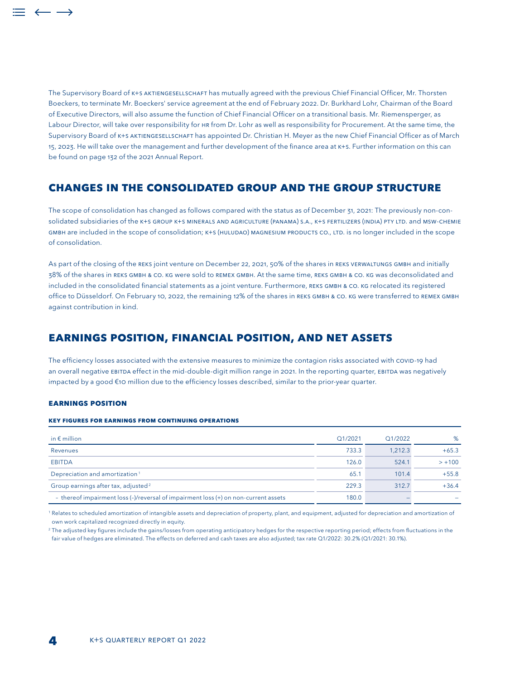The Supervisory Board of K+S Aktiengesellschaft has mutually agreed with the previous Chief Financial Officer, Mr. Thorsten Boeckers, to terminate Mr. Boeckers' service agreement at the end of February 2022. Dr. Burkhard Lohr, Chairman of the Board of Executive Directors, will also assume the function of Chief Financial Officer on a transitional basis. Mr. Riemensperger, as Labour Director, will take over responsibility for HR from Dr. Lohr as well as responsibility for Procurement. At the same time, the Supervisory Board of K+S Aktiengesellschaft has appointed Dr. Christian H. Meyer as the new Chief Financial Officer as of March 15, 2023. He will take over the management and further development of the finance area at K+S. Further information on this can be found on page 132 of the 2021 Annual Report.

## **CHANGES IN THE CONSOLIDATED GROUP AND THE GROUP STRUCTURE**

The scope of consolidation has changed as follows compared with the status as of December 31, 2021: The previously non-consolidated subsidiaries of the K+S GROUP K+S MINERALS AND AGRICULTURE (PANAMA) S.A., K+S FERTILIZERS (INDIA) PTY LTD. and MSW-CHEMIE GMBH are included in the scope of consolidation; K+S (HULUDAO) MAGNESIUM PRODUCTS CO., LTD. is no longer included in the scope of consolidation.

As part of the closing of the REKS joint venture on December 22, 2021, 50% of the shares in REKS VERWALTUNGS GMBH and initially 38% of the shares in REKS GmbH & Co. KG were sold to REMEX GmbH. At the same time, REKS GmbH & Co. KG was deconsolidated and included in the consolidated financial statements as a joint venture. Furthermore, REKS GMBH & CO. KG relocated its registered office to Düsseldorf. On February 10, 2022, the remaining 12% of the shares in REKS GMBH & CO. KG were transferred to REMEX GMBH against contribution in kind.

## **EARNINGS POSITION, FINANCIAL POSITION, AND NET ASSETS**

The efficiency losses associated with the extensive measures to minimize the contagion risks associated with COVID-19 had an overall negative EBITDA effect in the mid-double-digit million range in 2021. In the reporting quarter, EBITDA was negatively impacted by a good €10 million due to the efficiency losses described, similar to the prior-year quarter.

#### **EARNINGS POSITION**

#### **Key figures for earnings from continuing operations**

| in $\epsilon$ million                                                               | Q1/2021 | Q1/2022 | %        |
|-------------------------------------------------------------------------------------|---------|---------|----------|
| Revenues                                                                            | 733.3   | 1.212.3 | $+65.3$  |
| <b>EBITDA</b>                                                                       | 126.0   | 524.1   | $> +100$ |
| Depreciation and amortization <sup>1</sup>                                          | 65.1    | 101.4   | $+55.8$  |
| Group earnings after tax, adjusted <sup>2</sup>                                     | 229.3   | 312.7   | $+36.4$  |
| - thereof impairment loss (-)/reversal of impairment loss (+) on non-current assets | 180.0   |         |          |

<sup>1</sup> Relates to scheduled amortization of intangible assets and depreciation of property, plant, and equipment, adjusted for depreciation and amortization of own work capitalized recognized directly in equity.

<sup>2</sup> The adjusted key figures include the gains/losses from operating anticipatory hedges for the respective reporting period; effects from fluctuations in the fair value of hedges are eliminated. The effects on deferred and cash taxes are also adjusted; tax rate Q1/2022: 30.2% (Q1/2021: 30.1%).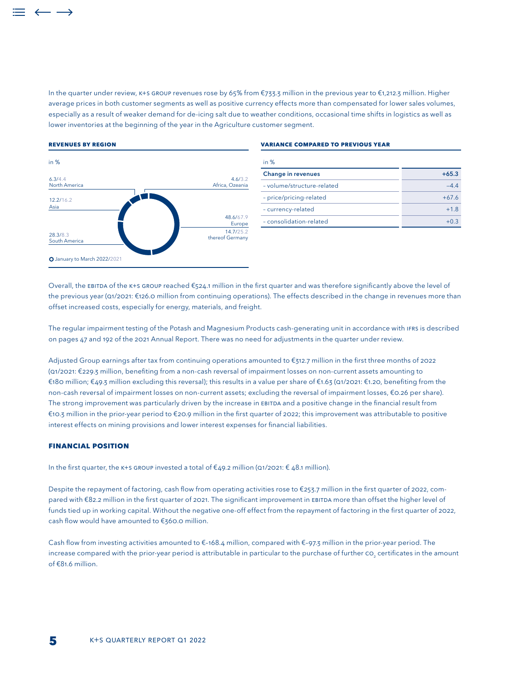In the quarter under review, K+S Group revenues rose by 65% from €733.3 million in the previous year to €1,212.3 million. Higher average prices in both customer segments as well as positive currency effects more than compensated for lower sales volumes, especially as a result of weaker demand for de-icing salt due to weather conditions, occasional time shifts in logistics as well as lower inventories at the beginning of the year in the Agriculture customer segment.

#### **Revenues by region**



#### **Variance compared to previous year**

| in $%$                     |         |
|----------------------------|---------|
| <b>Change in revenues</b>  | $+65.3$ |
| - volume/structure-related | $-44$   |
| - price/pricing-related    | $+676$  |
| - currency-related         | $+1.8$  |
| - consolidation-related    |         |

Overall, the EBITDA of the K+S Group reached €524.1 million in the first quarter and was therefore significantly above the level of the previous year (Q1/2021: €126.0 million from continuing operations). The effects described in the change in revenues more than offset increased costs, especially for energy, materials, and freight.

The regular impairment testing of the Potash and Magnesium Products cash-generating unit in accordance with IFRS is described on pages 47 and 192 of the 2021 Annual Report. There was no need for adjustments in the quarter under review.

Adjusted Group earnings after tax from continuing operations amounted to €312.7 million in the first three months of 2022 (Q1/2021: €229.3 million, benefiting from a non-cash reversal of impairment losses on non-current assets amounting to €180 million; €49.3 million excluding this reversal); this results in a value per share of €1.63 (Q1/2021: €1.20, benefiting from the non-cash reversal of impairment losses on non-current assets; excluding the reversal of impairment losses, €0.26 per share). The strong improvement was particularly driven by the increase in EBITDA and a positive change in the financial result from €10.3 million in the prior-year period to €20.9 million in the first quarter of 2022; this improvement was attributable to positive interest effects on mining provisions and lower interest expenses for financial liabilities.

#### **FINANCIAL POSITION**

In the first quarter, the K+S GROUP invested a total of  $\epsilon$ 49.2 million (Q1/2021:  $\epsilon$  48.1 million).

Despite the repayment of factoring, cash flow from operating activities rose to €253.7 million in the first quarter of 2022, compared with €82.2 million in the first quarter of 2021. The significant improvement in EBITDA more than offset the higher level of funds tied up in working capital. Without the negative one-off effect from the repayment of factoring in the first quarter of 2022, cash flow would have amounted to €360.0 million.

Cash flow from investing activities amounted to €–168.4 million, compared with €–97.3 million in the prior-year period. The increase compared with the prior-year period is attributable in particular to the purchase of further  ${\rm co}__2$  certificates in the amount of €81.6 million.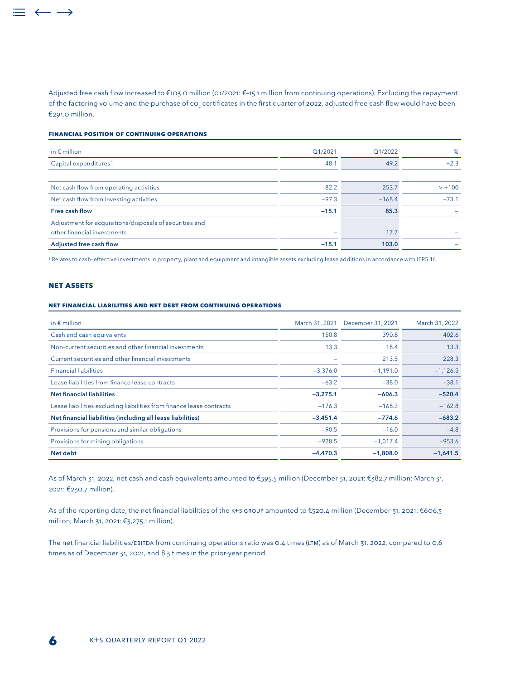Adjusted free cash flow increased to €103.0 million (Q1/2021: €–15.1 million from continuing operations). Excluding the repayment of the factoring volume and the purchase of  ${\tt co}_2$  certificates in the first quarter of 2022, adjusted free cash flow would have been €291.0 million.

#### **Financial position of continuing operations**

| in $\epsilon$ million                                                                  | Q1/2021 | Q1/2022  | %        |
|----------------------------------------------------------------------------------------|---------|----------|----------|
| Capital expenditures <sup>1</sup>                                                      | 48.1    | 49.2     | $+2.3$   |
| Net cash flow from operating activities                                                | 82.2    | 253.7    | $> +100$ |
| Net cash flow from investing activities                                                | $-97.3$ | $-168.4$ | $-73.1$  |
| <b>Free cash flow</b>                                                                  | $-15.1$ | 85.3     |          |
| Adjustment for acquisitions/disposals of securities and<br>other financial investments |         | 17.7     |          |
| Adjusted free cash flow                                                                | $-15.1$ | 103.0    |          |

1 Relates to cash–effective investments in property, plant and equipment and intangible assets excluding lease additions in accordance with IFRS 16.

#### **NET ASSETS**

 $=$   $\leftarrow$   $\rightarrow$ 

#### **Net financial LIABILITIES and net debt from continuing operations**

| in $\epsilon$ million                                                | March 31, 2021 | December 31, 2021 | March 31, 2022 |
|----------------------------------------------------------------------|----------------|-------------------|----------------|
| Cash and cash equivalents                                            | 150.8          | 390.8             | 402.6          |
| Non-current securities and other financial investments               | 13.3           | 18.4              | 13.3           |
| Current securities and other financial investments                   |                | 213.5             | 228.3          |
| <b>Financial liabilities</b>                                         | $-3,376.0$     | $-1,191.0$        | $-1,126.5$     |
| Lease liabilities from finance lease contracts                       | $-63.2$        | $-38.0$           | $-38.1$        |
| <b>Net financial liabilities</b>                                     | $-3,275.1$     | $-606.3$          | $-520.4$       |
| Lease liabilities excluding liabilities from finance lease contracts | $-176.3$       | $-168.3$          | $-162.8$       |
| Net financial liabilities (including all lease liabilities)          | $-3,451.4$     | $-774.6$          | $-683.2$       |
| Provisions for pensions and similar obligations                      | $-90.5$        | $-16.0$           | $-4.8$         |
| Provisions for mining obligations                                    | $-928.5$       | $-1,017.4$        | $-953.6$       |
| Net debt                                                             | $-4.470.3$     | $-1,808.0$        | $-1,641.5$     |

As of March 31, 2022, net cash and cash equivalents amounted to €395.5 million (December 31, 2021: €382.7 million; March 31, 2021: €230.7 million).

As of the reporting date, the net financial liabilities of the K+S GROUP amounted to €520.4 million (December 31, 2021: €606.3 million; March 31, 2021: €3,275.1 million).

The net financial liabilities/EBITDA from continuing operations ratio was 0.4 times (LTM) as of March 31, 2022, compared to 0.6 times as of December 31, 2021, and 8.3 times in the prior-year period.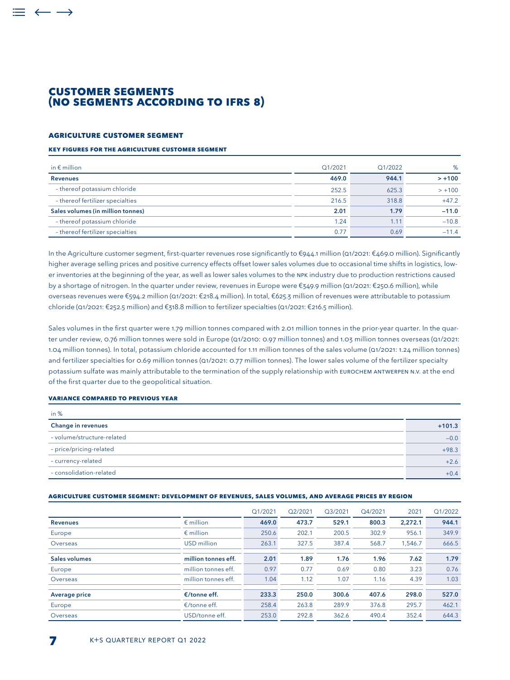## **CUSTOMER SEGMENTS (NO SEGMENTS ACCORDING TO IFRS 8)**

#### **AGRICULTURE CUSTOMER SEGMENT**

 $\leftarrow$   $\rightarrow$ 

#### **Key figures for the Agriculture customer segment**

| in $\epsilon$ million             | Q1/2021 | Q1/2022 | %        |
|-----------------------------------|---------|---------|----------|
| <b>Revenues</b>                   | 469.0   | 944.1   | $> +100$ |
| - thereof potassium chloride      | 252.5   | 625.3   | $> +100$ |
| - thereof fertilizer specialties  | 216.5   | 318.8   | $+47.2$  |
| Sales volumes (in million tonnes) | 2.01    | 1.79    | $-11.0$  |
| - thereof potassium chloride      | 1.24    | 1.11    | $-10.8$  |
| - thereof fertilizer specialties  | 0.77    | 0.69    | $-114$   |

In the Agriculture customer segment, first-quarter revenues rose significantly to €944.1 million (Q1/2021: €469.0 million). Significantly higher average selling prices and positive currency effects offset lower sales volumes due to occasional time shifts in logistics, lower inventories at the beginning of the year, as well as lower sales volumes to the NPK industry due to production restrictions caused by a shortage of nitrogen. In the quarter under review, revenues in Europe were €349.9 million (Q1/2021: €250.6 million), while overseas revenues were €594.2 million (Q1/2021: €218.4 million). In total, €625.3 million of revenues were attributable to potassium chloride (Q1/2021: €252.5 million) and €318.8 million to fertilizer specialties (Q1/2021: €216.5 million).

Sales volumes in the first quarter were 1.79 million tonnes compared with 2.01 million tonnes in the prior-year quarter. In the quarter under review, 0.76 million tonnes were sold in Europe (Q1/2010: 0.97 million tonnes) and 1.03 million tonnes overseas (Q1/2021: 1.04 million tonnes). In total, potassium chloride accounted for 1.11 million tonnes of the sales volume (Q1/2021: 1.24 million tonnes) and fertilizer specialties for 0.69 million tonnes (Q1/2021: 0.77 million tonnes). The lower sales volume of the fertilizer specialty potassium sulfate was mainly attributable to the termination of the supply relationship with Eurochem Antwerpen N.V. at the end of the first quarter due to the geopolitical situation.

#### **Variance compared to previous year**

| in $%$                     |          |
|----------------------------|----------|
| <b>Change in revenues</b>  | $+101.3$ |
| - volume/structure-related | $-0.0$   |
| - price/pricing-related    | $+98.3$  |
| - currency-related         | $+2.6$   |
| - consolidation-related    | $+0.4$   |

#### **Agriculture customer segment: development of revenues, sales volumes, and average prices by region**

|                      |                        | Q1/2021 | Q2/2021 | Q3/2021 | Q4/2021 | 2021    | Q1/2022 |
|----------------------|------------------------|---------|---------|---------|---------|---------|---------|
| <b>Revenues</b>      | $\epsilon$ million     | 469.0   | 473.7   | 529.1   | 800.3   | 2.272.1 | 944.1   |
| Europe               | $\epsilon$ million     | 250.6   | 202.1   | 200.5   | 302.9   | 956.1   | 349.9   |
| Overseas             | USD million            | 263.1   | 327.5   | 387.4   | 568.7   | .546.7  | 666.5   |
| <b>Sales volumes</b> | million tonnes eff.    | 2.01    | 1.89    | 1.76    | 1.96    | 7.62    | 1.79    |
| Europe               | million tonnes eff.    | 0.97    | 0.77    | 0.69    | 0.80    | 3.23    | 0.76    |
| Overseas             | million tonnes eff.    | 1.04    | 1.12    | 1.07    | 1.16    | 4.39    | 1.03    |
| <b>Average price</b> | $\epsilon$ /tonne eff. | 233.3   | 250.0   | 300.6   | 407.6   | 298.0   | 527.0   |
| Europe               | $\epsilon$ /tonne eff. | 258.4   | 263.8   | 289.9   | 376.8   | 295.7   | 462.1   |
| Overseas             | USD/tonne eff.         | 253.0   | 292.8   | 362.6   | 490.4   | 352.4   | 644.3   |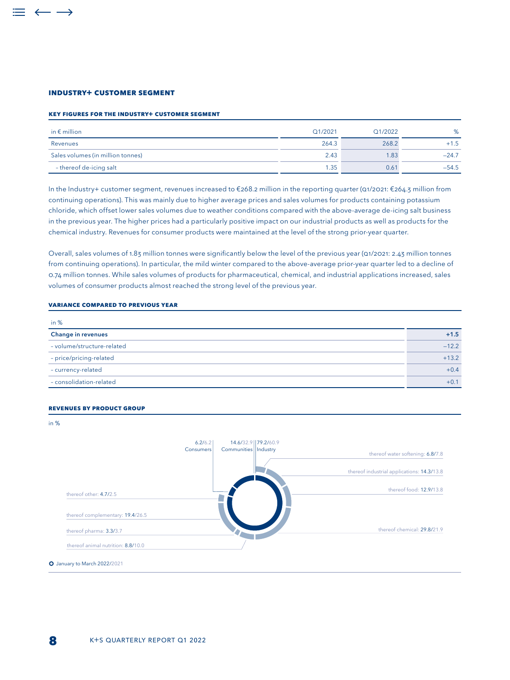#### **INDUSTRY+ CUSTOMER SEGMENT**

#### **Key figures for the Industry+ customer segment**

| in $\epsilon$ million             | Q1/2021 | Q1/2022 | %       |
|-----------------------------------|---------|---------|---------|
| Revenues                          | 264.3   | 268.2   | $+1.5$  |
| Sales volumes (in million tonnes) | 2.43    | 1.83    | $-24.7$ |
| - thereof de-icing salt           | 1.35    | 0.61    | $-54.5$ |

In the Industry+ customer segment, revenues increased to €268.2 million in the reporting quarter (Q1/2021: €264.3 million from continuing operations). This was mainly due to higher average prices and sales volumes for products containing potassium chloride, which offset lower sales volumes due to weather conditions compared with the above-average de-icing salt business in the previous year. The higher prices had a particularly positive impact on our industrial products as well as products for the chemical industry. Revenues for consumer products were maintained at the level of the strong prior-year quarter.

Overall, sales volumes of 1.83 million tonnes were significantly below the level of the previous year (Q1/2021: 2.43 million tonnes from continuing operations). In particular, the mild winter compared to the above-average prior-year quarter led to a decline of 0.74 million tonnes. While sales volumes of products for pharmaceutical, chemical, and industrial applications increased, sales volumes of consumer products almost reached the strong level of the previous year.

#### **Variance compared to previous year**

| in $%$                     |         |
|----------------------------|---------|
| <b>Change in revenues</b>  | $+1.5$  |
| - volume/structure-related | $-12.2$ |
| - price/pricing-related    | $+13.2$ |
| - currency-related         | $+0.4$  |
| - consolidation-related    | $+0.1$  |

#### **Revenues by product group**

in %

### 6.2/6.2 79.2/60.9 14.6/32.9 Consumers Communities Industry<br>thereof water softening: 6.8/7.8 Communities | Industry thereof industrial applications: 14.3/13.8 thereof food: 12.9/13.8 thereof other: 4.7/2.5 Д thereof complementary: 19.4/26.5 thereof chemical: 29.8/21.9 thereof pharma: 3.3/3.7 thereof animal nutrition: 8.8/10.0 O January to March 2022/2021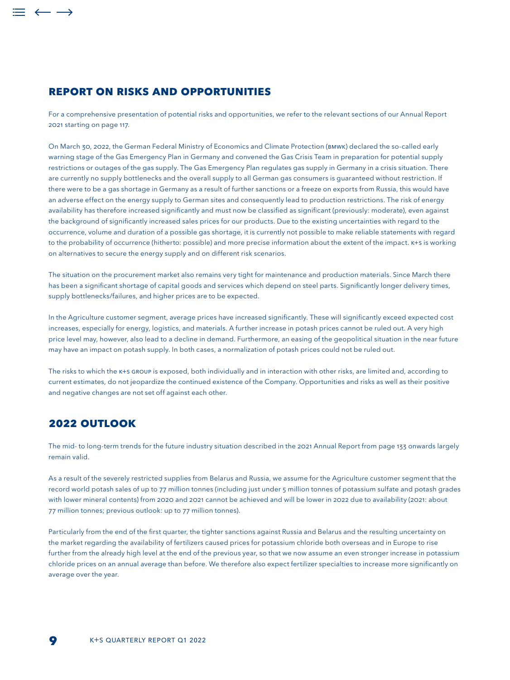## **REPORT ON RISKS AND OPPORTUNITIES**

For a comprehensive presentation of potential risks and opportunities, we refer to the relevant sections of our Annual Report 2021 starting on page 117.

On March 30, 2022, the German Federal Ministry of Economics and Climate Protection (BMWK) declared the so-called early warning stage of the Gas Emergency Plan in Germany and convened the Gas Crisis Team in preparation for potential supply restrictions or outages of the gas supply. The Gas Emergency Plan regulates gas supply in Germany in a crisis situation. There are currently no supply bottlenecks and the overall supply to all German gas consumers is guaranteed without restriction. If there were to be a gas shortage in Germany as a result of further sanctions or a freeze on exports from Russia, this would have an adverse effect on the energy supply to German sites and consequently lead to production restrictions. The risk of energy availability has therefore increased significantly and must now be classified as significant (previously: moderate), even against the background of significantly increased sales prices for our products. Due to the existing uncertainties with regard to the occurrence, volume and duration of a possible gas shortage, it is currently not possible to make reliable statements with regard to the probability of occurrence (hitherto: possible) and more precise information about the extent of the impact. K+S is working on alternatives to secure the energy supply and on different risk scenarios.

The situation on the procurement market also remains very tight for maintenance and production materials. Since March there has been a significant shortage of capital goods and services which depend on steel parts. Significantly longer delivery times, supply bottlenecks/failures, and higher prices are to be expected.

In the Agriculture customer segment, average prices have increased significantly. These will significantly exceed expected cost increases, especially for energy, logistics, and materials. A further increase in potash prices cannot be ruled out. A very high price level may, however, also lead to a decline in demand. Furthermore, an easing of the geopolitical situation in the near future may have an impact on potash supply. In both cases, a normalization of potash prices could not be ruled out.

The risks to which the K+S GROUP is exposed, both individually and in interaction with other risks, are limited and, according to current estimates, do not jeopardize the continued existence of the Company. Opportunities and risks as well as their positive and negative changes are not set off against each other.

## **2022 OUTLook**

 $=$   $\leftarrow$   $\rightarrow$ 

The mid- to long-term trends for the future industry situation described in the 2021 Annual Report from page 133 onwards largely remain valid.

As a result of the severely restricted supplies from Belarus and Russia, we assume for the Agriculture customer segment that the record world potash sales of up to 77 million tonnes (including just under 5 million tonnes of potassium sulfate and potash grades with lower mineral contents) from 2020 and 2021 cannot be achieved and will be lower in 2022 due to availability (2021: about 77 million tonnes; previous outlook: up to 77 million tonnes).

Particularly from the end of the first quarter, the tighter sanctions against Russia and Belarus and the resulting uncertainty on the market regarding the availability of fertilizers caused prices for potassium chloride both overseas and in Europe to rise further from the already high level at the end of the previous year, so that we now assume an even stronger increase in potassium chloride prices on an annual average than before. We therefore also expect fertilizer specialties to increase more significantly on average over the year.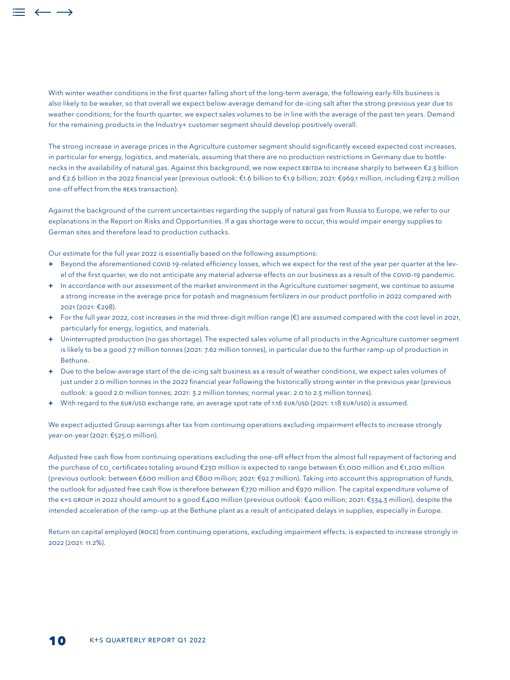With winter weather conditions in the first quarter falling short of the long-term average, the following early-fills business is also likely to be weaker, so that overall we expect below-average demand for de-icing salt after the strong previous year due to weather conditions; for the fourth quarter, we expect sales volumes to be in line with the average of the past ten years. Demand for the remaining products in the Industry+ customer segment should develop positively overall.

The strong increase in average prices in the Agriculture customer segment should significantly exceed expected cost increases, in particular for energy, logistics, and materials, assuming that there are no production restrictions in Germany due to bottlenecks in the availability of natural gas. Against this background, we now expect EBITDA to increase sharply to between €2.3 billion and €2.6 billion in the 2022 financial year (previous outlook: €1.6 billion to €1.9 billion; 2021: €969.1 million, including €219.2 million one-off effect from the REKS transaction).

Against the background of the current uncertainties regarding the supply of natural gas from Russia to Europe, we refer to our explanations in the Report on Risks and Opportunities. If a gas shortage were to occur, this would impair energy supplies to German sites and therefore lead to production cutbacks.

Our estimate for the full year 2022 is essentially based on the following assumptions:

- **+** Beyond the aforementioned COVID 19-related efficiency losses, which we expect for the rest of the year per quarter at the level of the first quarter, we do not anticipate any material adverse effects on our business as a result of the COVID-19 pandemic.
- **+** In accordance with our assessment of the market environment in the Agriculture customer segment, we continue to assume a strong increase in the average price for potash and magnesium fertilizers in our product portfolio in 2022 compared with 2021 (2021: €298).
- **+** For the full year 2022, cost increases in the mid three-digit million range (€) are assumed compared with the cost level in 2021, particularly for energy, logistics, and materials.
- **+** Uninterrupted production (no gas shortage). The expected sales volume of all products in the Agriculture customer segment is likely to be a good 7.7 million tonnes (2021: 7.62 million tonnes), in particular due to the further ramp-up of production in Bethune.
- **+** Due to the below-average start of the de-icing salt business as a result of weather conditions, we expect sales volumes of just under 2.0 million tonnes in the 2022 financial year following the historically strong winter in the previous year (previous outlook: a good 2.0 million tonnes; 2021: 3.2 million tonnes; normal year: 2.0 to 2.3 million tonnes).
- **+** With regard to the EUR/USD exchange rate, an average spot rate of 1.16 EUR/USD (2021: 1.18 EUR/USD) is assumed.

We expect adjusted Group earnings after tax from continuing operations excluding impairment effects to increase strongly year-on-year (2021: €525.0 million).

Adjusted free cash flow from continuing operations excluding the one-off effect from the almost full repayment of factoring and the purchase of co<sub>2</sub> certificates totaling around €230 million is expected to range between €1,000 million and €1,200 million (previous outlook: between €600 million and €800 million; 2021: €92.7 million). Taking into account this appropriation of funds, the outlook for adjusted free cash flow is therefore between €770 million and €970 million. The capital expenditure volume of the K+S GROUP in 2022 should amount to a good €400 million (previous outlook: €400 million; 2021: €334.3 million), despite the intended acceleration of the ramp-up at the Bethune plant as a result of anticipated delays in supplies, especially in Europe.

Return on capital employed (ROCE) from continuing operations, excluding impairment effects, is expected to increase strongly in 2022 (2021: 11.2%).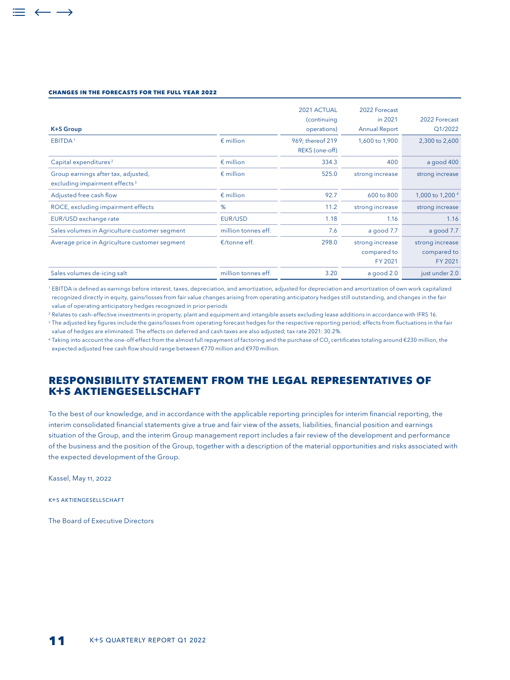#### **changes in the FORECASTS FOR THE FULL YEAR 2022**

 $\leftarrow$   $\rightarrow$ 

| <b>K+S Group</b>                                                                 |                        | 2021 ACTUAL<br>(continuing<br>operations) | 2022 Forecast<br>in 2021<br><b>Annual Report</b> | 2022 Forecast<br>Q1/2022                  |
|----------------------------------------------------------------------------------|------------------------|-------------------------------------------|--------------------------------------------------|-------------------------------------------|
| EBITDA <sup>1</sup>                                                              | $\epsilon$ million     | 969; thereof 219<br>REKS (one-off)        | 1,600 to 1,900                                   | 2,300 to 2,600                            |
| Capital expenditures <sup>2</sup>                                                | $\epsilon$ million     | 334.3                                     | 400                                              | a good 400                                |
| Group earnings after tax, adjusted,<br>excluding impairment effects <sup>3</sup> | $\epsilon$ million     | 525.0                                     | strong increase                                  | strong increase                           |
| Adjusted free cash flow                                                          | $\epsilon$ million     | 92.7                                      | 600 to 800                                       | 1,000 to 1,200 <sup>4</sup>               |
| ROCE, excluding impairment effects                                               | %                      | 11.2                                      | strong increase                                  | strong increase                           |
| EUR/USD exchange rate                                                            | EUR/USD                | 1.18                                      | 1.16                                             | 1.16                                      |
| Sales volumes in Agriculture customer segment                                    | million tonnes eff.    | 7.6                                       | a good 7.7                                       | a good 7.7                                |
| Average price in Agriculture customer segment                                    | $\epsilon$ /tonne eff. | 298.0                                     | strong increase<br>compared to<br>FY 2021        | strong increase<br>compared to<br>FY 2021 |
| Sales volumes de-icing salt                                                      | million tonnes eff.    | 3.20                                      | a good 2.0                                       | just under 2.0                            |

<sup>1</sup> EBITDA is defined as earnings before interest, taxes, depreciation, and amortization, adjusted for depreciation and amortization of own work capitalized recognized directly in equity, gains/losses from fair value changes arising from operating anticipatory hedges still outstanding, and changes in the fair value of operating anticipatory hedges recognized in prior periods

<sup>2</sup> Relates to cash–effective investments in property, plant and equipment and intangible assets excluding lease additions in accordance with IFRS 16.

<sup>3</sup> The adjusted key figures include the gains/losses from operating forecast hedges for the respective reporting period; effects from fluctuations in the fair value of hedges are eliminated. The effects on deferred and cash taxes are also adjusted; tax rate 2021: 30.2%.

4 Taking into account the one-off effect from the almost full repayment of factoring and the purchase of CO<sub>2</sub> certificates totaling around €230 million, the expected adjusted free cash flow should range between €770 million and €970 million.

## **RESPONSIBILITY statement FROM THE LEGAL REPRESENTATIVES OF K+S AKTIENGESELLSCHAFT**

To the best of our knowledge, and in accordance with the applicable reporting principles for interim financial reporting, the interim consolidated financial statements give a true and fair view of the assets, liabilities, financial position and earnings situation of the Group, and the interim Group management report includes a fair review of the development and performance of the business and the position of the Group, together with a description of the material opportunities and risks associated with the expected development of the Group.

Kassel, May 11, 2022

K+S Aktiengesellschaft

The Board of Executive Directors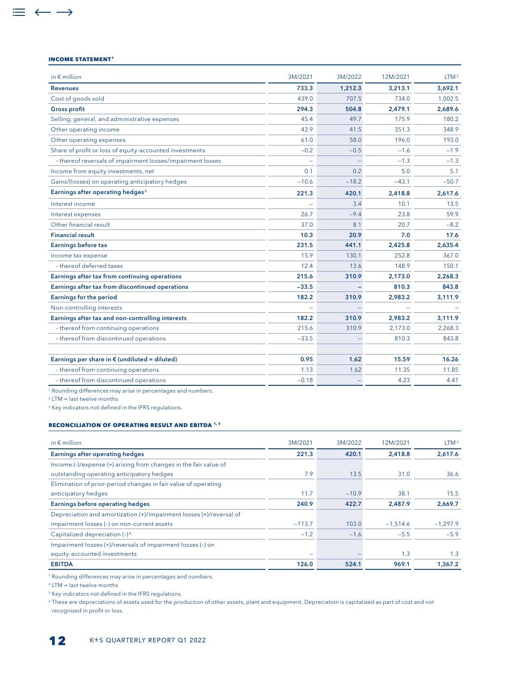#### **INCOME STATEMENT<sup>1</sup>**

 $\equiv$   $\leftarrow$   $\rightarrow$ 

| in $\epsilon$ million                                      | 3M/2021 | 3M/2022 | 12M/2021 | LTM <sup>2</sup> |
|------------------------------------------------------------|---------|---------|----------|------------------|
| <b>Revenues</b>                                            | 733.3   | 1,212.3 | 3,213.1  | 3,692.1          |
| Cost of goods sold                                         | 439.0   | 707.5   | 734.0    | 1,002.5          |
| <b>Gross profit</b>                                        | 294.3   | 504.8   | 2,479.1  | 2,689.6          |
| Selling, general, and administrative expenses              | 45.4    | 49.7    | 175.9    | 180.2            |
| Other operating income                                     | 43.9    | 41.5    | 351.3    | 348.9            |
| Other operating expenses                                   | 61.0    | 58.0    | 196.0    | 193.0            |
| Share of profit or loss of equity-accounted investments    | $-0.2$  | $-0.5$  | $-1.6$   | $-1.9$           |
| - thereof reversals of impairment losses/impairment losses |         |         | $-1.3$   | $-1.3$           |
| Income from equity investments, net                        | 0.1     | 0.2     | 5.0      | 5.1              |
| Gains/(losses) on operating anticipatory hedges            | $-10.6$ | $-18.2$ | $-43.1$  | $-50.7$          |
| Earnings after operating hedges <sup>3</sup>               | 221.3   | 420.1   | 2,418.8  | 2.617.6          |
| Interest income                                            |         | 3.4     | 10.1     | 13.5             |
| Interest expenses                                          | 26.7    | $-9.4$  | 23.8     | 59.9             |
| Other financial result                                     | 37.0    | 8.1     | 20.7     | $-8.2$           |
| <b>Financial result</b>                                    | 10.3    | 20.9    | 7.0      | 17.6             |
| <b>Earnings before tax</b>                                 | 231.5   | 441.1   | 2,425.8  | 2,635.4          |
| Income tax expense                                         | 15.9    | 130.1   | 252.8    | 367.0            |
| - thereof deferred taxes                                   | 12.4    | 13.6    | 148.9    | 150.1            |
| Earnings after tax from continuing operations              | 215.6   | 310.9   | 2,173.0  | 2,268.3          |
| Earnings after tax from discontinued operations            | $-33.5$ |         | 810.3    | 843.8            |
| <b>Earnings for the period</b>                             | 182.2   | 310.9   | 2,983.2  | 3,111.9          |
| Non-controlling interests                                  |         |         |          |                  |
| Earnings after tax and non-controlling interests           | 182.2   | 310.9   | 2,983.2  | 3,111.9          |
| - thereof from continuing operations                       | 215.6   | 310.9   | 2.173.0  | 2,268.3          |
| - thereof from discontinued operations                     | $-33.5$ |         | 810.3    | 843.8            |
| Earnings per share in $\epsilon$ (undiluted = diluted)     | 0.95    | 1.62    | 15.59    | 16.26            |
| - thereof from continuing operations                       | 1.13    | 1.62    | 11.35    | 11.85            |
| - thereof from discontinued operations                     | $-0.18$ |         | 4.23     | 4.41             |

1 Rounding differences may arise in percentages and numbers.

2 LTM = last twelve months

<sup>3</sup> Key indicators not defined in the IFRS regulations.

#### **Reconciliation of operating result and EBITDA 1, 3**

| in $\epsilon$ million                                               | 3M/2021  | 3M/2022 | 12M/2021   | LTM <sup>2</sup> |
|---------------------------------------------------------------------|----------|---------|------------|------------------|
| <b>Earnings after operating hedges</b>                              | 221.3    | 420.1   | 2,418.8    | 2,617.6          |
| Income (-)/expense (+) arising from changes in the fair value of    |          |         |            |                  |
| outstanding operating anticipatory hedges                           | 7.9      | 13.5    | 31.0       | 36.6             |
| Elimination of prior-period changes in fair value of operating      |          |         |            |                  |
| anticipatory hedges                                                 | 11.7     | $-10.9$ | 38.1       | 15.5             |
| <b>Earnings before operating hedges</b>                             | 240.9    | 422.7   | 2,487.9    | 2,669.7          |
| Depreciation and amortization (+)/impairment losses (+)/reversal of |          |         |            |                  |
| impairment losses (-) on non-current assets                         | $-113.7$ | 103.0   | $-1,514.6$ | $-1.297.9$       |
| Capitalized depreciation (-) <sup>4</sup>                           | $-1.2$   | $-1.6$  | $-5.5$     | $-5.9$           |
| Impairment losses (+)/reversals of impairment losses (-) on         |          |         |            |                  |
| equity-accounted investments                                        |          |         | 1.3        | 1.3              |
| <b>EBITDA</b>                                                       | 126.0    | 524.1   | 969.1      | 1,367.2          |

1 Rounding differences may arise in percentages and numbers.

2 LTM = last twelve months

<sup>3</sup> Key indicators not defined in the IFRS regulations.

<sup>4</sup> These are depreciations of assets used for the production of other assets, plant and equipment. Depreciation is capitalized as part of cost and not recognized in profit or loss.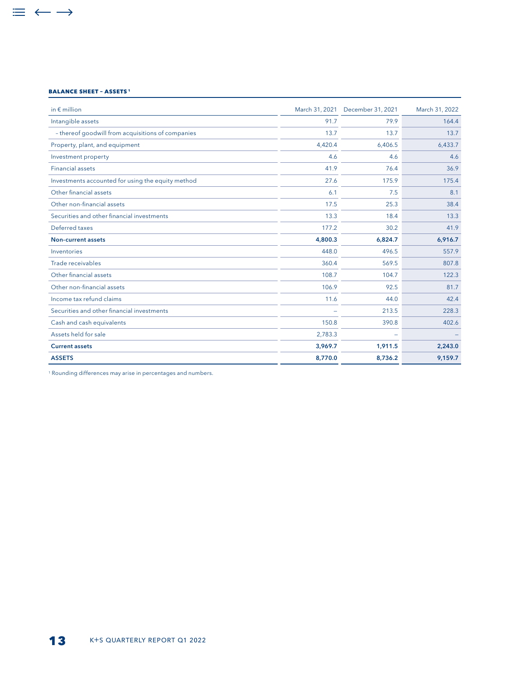#### **BALANCE SHEET – ASSETS 1**

 $\equiv$   $\leftarrow$   $\rightarrow$ 

| in $\epsilon$ million                             | March 31, 2021 | December 31, 2021 | March 31, 2022 |
|---------------------------------------------------|----------------|-------------------|----------------|
| Intangible assets                                 | 91.7           | 79.9              | 164.4          |
| - thereof goodwill from acquisitions of companies | 13.7           | 13.7              | 13.7           |
| Property, plant, and equipment                    | 4,420.4        | 6,406.5           | 6,433.7        |
| Investment property                               | 4.6            | 4.6               | 4.6            |
| <b>Financial assets</b>                           | 41.9           | 76.4              | 36.9           |
| Investments accounted for using the equity method | 27.6           | 175.9             | 175.4          |
| Other financial assets                            | 6.1            | 7.5               | 8.1            |
| Other non-financial assets                        | 17.5           | 25.3              | 38.4           |
| Securities and other financial investments        | 13.3           | 18.4              | 13.3           |
| Deferred taxes                                    | 177.2          | 30.2              | 41.9           |
| Non-current assets                                | 4,800.3        | 6,824.7           | 6,916.7        |
| Inventories                                       | 448.0          | 496.5             | 557.9          |
| Trade receivables                                 | 360.4          | 569.5             | 807.8          |
| Other financial assets                            | 108.7          | 104.7             | 122.3          |
| Other non-financial assets                        | 106.9          | 92.5              | 81.7           |
| Income tax refund claims                          | 11.6           | 44.0              | 42.4           |
| Securities and other financial investments        |                | 213.5             | 228.3          |
| Cash and cash equivalents                         | 150.8          | 390.8             | 402.6          |
| Assets held for sale                              | 2,783.3        |                   |                |
| <b>Current assets</b>                             | 3,969.7        | 1,911.5           | 2,243.0        |
| <b>ASSETS</b>                                     | 8,770.0        | 8,736.2           | 9,159.7        |

1 Rounding differences may arise in percentages and numbers.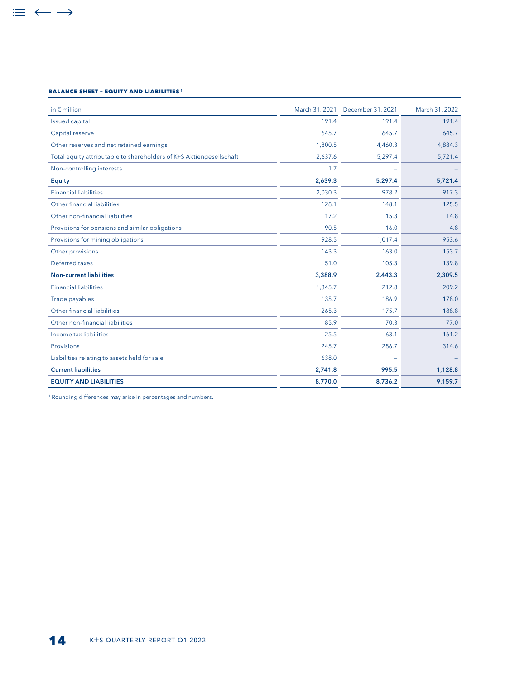#### **BALANCE SHEET – EQUITY AND LIABILITIES 1**

 $\equiv$   $\leftarrow$   $\rightarrow$ 

| in $\epsilon$ million                                               |         | March 31, 2021 December 31, 2021 | March 31, 2022 |
|---------------------------------------------------------------------|---------|----------------------------------|----------------|
| Issued capital                                                      | 191.4   | 191.4                            | 191.4          |
| Capital reserve                                                     | 645.7   | 645.7                            | 645.7          |
| Other reserves and net retained earnings                            | 1,800.5 | 4.460.3                          | 4,884.3        |
| Total equity attributable to shareholders of K+S Aktiengesellschaft | 2,637.6 | 5,297.4                          | 5,721.4        |
| Non-controlling interests                                           | 1.7     |                                  |                |
| <b>Equity</b>                                                       | 2,639.3 | 5,297.4                          | 5,721.4        |
| <b>Financial liabilities</b>                                        | 2,030.3 | 978.2                            | 917.3          |
| Other financial liabilities                                         | 128.1   | 148.1                            | 125.5          |
| Other non-financial liabilities                                     | 17.2    | 15.3                             | 14.8           |
| Provisions for pensions and similar obligations                     | 90.5    | 16.0                             | 4.8            |
| Provisions for mining obligations                                   | 928.5   | 1,017.4                          | 953.6          |
| Other provisions                                                    | 143.3   | 163.0                            | 153.7          |
| Deferred taxes                                                      | 51.0    | 105.3                            | 139.8          |
| <b>Non-current liabilities</b>                                      | 3.388.9 | 2.443.3                          | 2,309.5        |
| <b>Financial liabilities</b>                                        | 1,345.7 | 212.8                            | 209.2          |
| Trade payables                                                      | 135.7   | 186.9                            | 178.0          |
| Other financial liabilities                                         | 265.3   | 175.7                            | 188.8          |
| Other non-financial liabilities                                     | 85.9    | 70.3                             | 77.0           |
| Income tax liabilities                                              | 25.5    | 63.1                             | 161.2          |
| Provisions                                                          | 245.7   | 286.7                            | 314.6          |
| Liabilities relating to assets held for sale                        | 638.0   |                                  |                |
| <b>Current liabilities</b>                                          | 2,741.8 | 995.5                            | 1,128.8        |
| <b>EQUITY AND LIABILITIES</b>                                       | 8,770.0 | 8,736.2                          | 9,159.7        |
|                                                                     |         |                                  |                |

<sup>1</sup> Rounding differences may arise in percentages and numbers.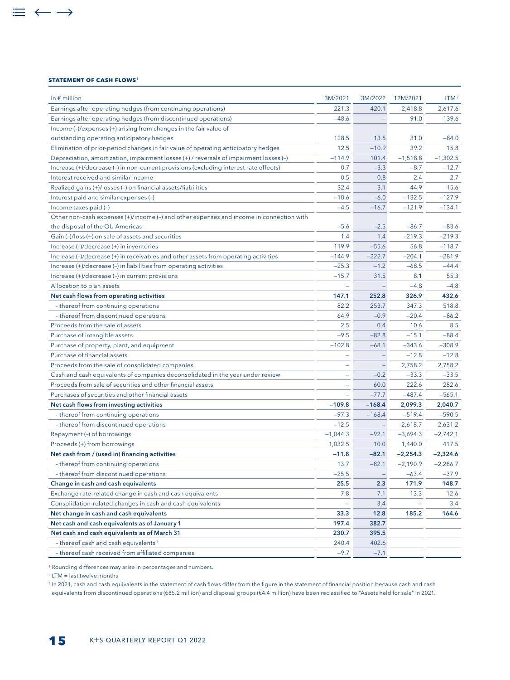#### **STATEMENT OF CASH FLOWS1**

 $\equiv$   $\leftarrow$   $\rightarrow$ 

| in $\epsilon$ million                                                                   | 3M/2021    | 3M/2022  | 12M/2021   | LTM <sup>2</sup> |
|-----------------------------------------------------------------------------------------|------------|----------|------------|------------------|
| Earnings after operating hedges (from continuing operations)                            | 221.3      | 420.1    | 2,418.8    | 2,617.6          |
| Earnings after operating hedges (from discontinued operations)                          | $-48.6$    |          | 91.0       | 139.6            |
| Income (-)/expenses (+) arising from changes in the fair value of                       |            |          |            |                  |
| outstanding operating anticipatory hedges                                               | 128.5      | 13.5     | 31.0       | $-84.0$          |
| Elimination of prior-period changes in fair value of operating anticipatory hedges      | 12.5       | $-10.9$  | 39.2       | 15.8             |
| Depreciation, amortization, impairment losses (+) / reversals of impairment losses (-)  | $-114.9$   | 101.4    | $-1,518.8$ | $-1,302.5$       |
| Increase (+)/decrease (-) in non-current provisions (excluding interest rate effects)   | 0.7        | $-3.3$   | $-8.7$     | $-12.7$          |
| Interest received and similar income                                                    | 0.5        | 0.8      | 2.4        | 2.7              |
| Realized gains (+)/losses (-) on financial assets/liabilities                           | 32.4       | 3.1      | 44.9       | 15.6             |
| Interest paid and similar expenses (-)                                                  | $-10.6$    | $-6.0$   | $-132.5$   | $-127.9$         |
| Income taxes paid (-)                                                                   | $-4.5$     | $-16.7$  | $-121.9$   | $-134.1$         |
| Other non-cash expenses (+)/income (-) and other expenses and income in connection with |            |          |            |                  |
| the disposal of the OU Americas                                                         | $-5.6$     | $-2.5$   | $-86.7$    | $-83.6$          |
| Gain (-)/loss (+) on sale of assets and securities                                      | 1.4        | 1.4      | $-219.3$   | $-219.3$         |
| Increase (-)/decrease (+) in inventories                                                | 119.9      | $-55.6$  | 56.8       | $-118.7$         |
| Increase (-)/decrease (+) in receivables and other assets from operating activities     | $-144.9$   | $-222.7$ | $-204.1$   | $-281.9$         |
| Increase (+)/decrease (-) in liabilities from operating activities                      | $-25.3$    | $-1.2$   | $-68.5$    | $-44.4$          |
| Increase (+)/decrease (-) in current provisions                                         | $-15.7$    | 31.5     | 8.1        | 55.3             |
| Allocation to plan assets                                                               |            |          | $-4.8$     | $-4.8$           |
| Net cash flows from operating activities                                                | 147.1      | 252.8    | 326.9      | 432.6            |
| - thereof from continuing operations                                                    | 82.2       | 253.7    | 347.3      | 518.8            |
| - thereof from discontinued operations                                                  | 64.9       | $-0.9$   | $-20.4$    | $-86.2$          |
| Proceeds from the sale of assets                                                        | 2.5        | 0.4      | 10.6       | 8.5              |
| Purchase of intangible assets                                                           | $-9.5$     | $-82.8$  | $-15.1$    | $-88.4$          |
| Purchase of property, plant, and equipment                                              | $-102.8$   | $-68.1$  | $-343.6$   | $-308.9$         |
| Purchase of financial assets                                                            |            | ۳        | $-12.8$    | $-12.8$          |
| Proceeds from the sale of consolidated companies                                        |            | ÷        | 2,758.2    | 2,758.2          |
| Cash and cash equivalents of companies deconsolidated in the year under review          | ÷          | $-0.2$   | $-33.3$    | $-33.5$          |
| Proceeds from sale of securities and other financial assets                             |            | 60.0     | 222.6      | 282.6            |
| Purchases of securities and other financial assets                                      |            | $-77.7$  | $-487.4$   | $-565.1$         |
| Net cash flows from investing activities                                                | $-109.8$   | $-168.4$ | 2,099.3    | 2,040.7          |
| - thereof from continuing operations                                                    | $-97.3$    | $-168.4$ | $-519.4$   | $-590.5$         |
| - thereof from discontinued operations                                                  | $-12.5$    |          | 2.618.7    | 2,631.2          |
| Repayment (-) of borrowings                                                             | $-1,044.3$ | $-92.1$  | $-3,694.3$ | $-2,742.1$       |
| Proceeds (+) from borrowings                                                            | 1,032.5    | 10.0     | 1,440.0    | 417.5            |
| Net cash from / (used in) financing activities                                          | $-11.8$    | $-82.1$  | $-2,254.3$ | $-2,324.6$       |
| - thereof from continuing operations                                                    | 13.7       | $-82.1$  | $-2,190.9$ | $-2,286.7$       |
| - thereof from discontinued operations                                                  | $-25.5$    |          | $-63.4$    | $-37.9$          |
| Change in cash and cash equivalents                                                     | 25.5       | 2.3      | 171.9      | 148.7            |
| Exchange rate-related change in cash and cash equivalents                               | 7.8        | 7.1      | 13.3       | 12.6             |
| Consolidation-related changes in cash and cash equivalents                              |            | 3.4      |            | 3.4              |
| Net change in cash and cash equivalents                                                 | 33.3       | 12.8     | 185.2      | 164.6            |
| Net cash and cash equivalents as of January 1                                           | 197.4      | 382.7    |            |                  |
| Net cash and cash equivalents as of March 31                                            | 230.7      | 395.5    |            |                  |
| - thereof cash and cash equivalents <sup>3</sup>                                        | 240.4      | 402.6    |            |                  |
| - thereof cash received from affiliated companies                                       | $-9.7$     | $-7.1$   |            |                  |

1 Rounding differences may arise in percentages and numbers.

2 LTM = last twelve months

<sup>3</sup> In 2021, cash and cash equivalents in the statement of cash flows differ from the figure in the statement of financial position because cash and cash equivalents from discontinued operations (€85.2 million) and disposal groups (€4.4 million) have been reclassified to "Assets held for sale" in 2021.